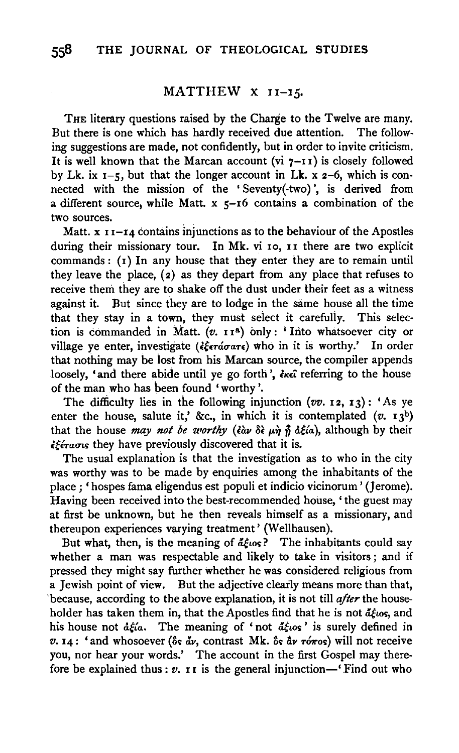## MATTHEW X 11-15.

THE literary questions raised by the Charge to the Twelve are many. But there is one which has hardly received due attention. The following suggestions are made, not confidently, but in order to invite criticism. It is well known that the Marcan account (vi  $7-11$ ) is closely followed by Lk. ix  $I - \xi$ , but that the longer account in Lk. x 2-6, which is connected with the mission of the 'Seventy(-two) ', is derived from a different source, while Matt.  $x - 16$  contains a combination of the two sources.

Matt.  $x \mid 1 - 14$  contains injunctions as to the behaviour of the Apostles during their missionary tour. In Mk. vi 10, 11 there are two explicit commands : (1) In any house that they enter they are to remain until they leave the place,  $(z)$  as they depart from any place that refuses to receive them they are to shake off the dust under their feet as a witness against it. But since they are to lodge in the same house all the time But since they are to lodge in the same house all the time that they stay in a town, they must select it carefuliy. This selection is commanded in Matt.  $(v. I1^a)$  only: 'Into whatsoever city or village ye enter, investigate ( $\epsilon \xi \epsilon \tau \omega \sigma \alpha \tau \epsilon$ ) who in it is worthy.' In order that nothing may be iost from his Marcan source, the compiler appends loosely, 'and there abide until ye go forth',  $\epsilon \kappa \hat{c}$  referring to the house of the man who has been found 'worthy'.

The difficulty lies in the following injunction ( $vv$ . 12, 13): 'As ye enter the house, salute it,' &c., in which it is contemplated  $(v. 13^b)$ that the house *may not be worthy (dav*  $\delta \epsilon \mu \eta \eta$  *déea*), although by their  $\epsilon$ *<sup>ε</sup>* είτασις they have previously discovered that it is.

The usual explanation is that the investigation as to who in the city was worthy was to be made by enquiries among the inhabitants of the place ; 'hospes fama eligendus est populi et indicio vicinorum ' (Jerome). Having been received into the best-recommended house, 'the guest may at first be unknown, but he then reveals himself as a missionary, and thereupon experiences varying treatment' (Wellhausen).

But what, then, is the meaning of  $d\xi\cos$ ? The inhabitants could say whether a man was respectable and likely to take in visitors ; and if pressed they might say further whether he was considered religious from a Jewish point of view. But the adjective clearly means more than that, 'because, according to the above explanation, it is not till *after* the householder has taken them in, that the Apostles find that he is not  $d\xi$ <sub>cos</sub>, and his house not  $d\xi/a$ . The meaning of ' not  $d\xi$  is surely defined in v. 14: 'and whosoever (os av, contrast Mk. os av *rómos*) will not receive you, nor hear your words.' The account in the first Gospel may therefore be explained thus :  $v$ . **11** is the general injunction-' Find out who